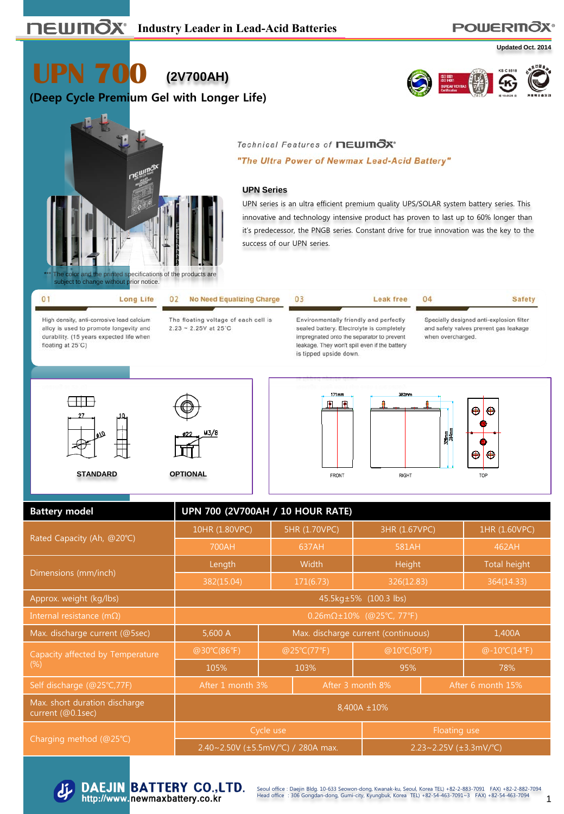# **POWERITOX®**

**Updated Oct. 2014**

**UPN 700 (2V700AH)**

**(Deep Cycle Premium Gel with Longer Life)**





#### Technical Features of newmOx\*

"The Ultra Power of Newmax Lead-Acid Battery"

#### **UPN Series**

UPN series is an ultra efficient premium quality UPS/SOLAR system battery series. This innovative and technology intensive product has proven to last up to 60% longer than it's predecessor, the PNGB series. Constant drive for true innovation was the key to the success of our UPN series.

Leak free

04

| Long Life                                 | 02 No Need Equalizing Charge         |               |
|-------------------------------------------|--------------------------------------|---------------|
| High density, anti-corrosive lead calcium | The floating voltage of each cell is | Environmental |

alloy is used to promote longevity and durability. (15 years expected life when floating at 25°C)

 $2.23 - 2.25V$  at 25°C

ly friendly and perfectly sealed battery. Electrolyte is completely impregnated onto the separator to prevent leakage. They won't spill even if the battery is tipped upside down.

FRONT

**Safety** 

Specially designed anti-explosion filter and safety valves prevent gas leakage when overcharged.







**RIGHT** 



| <b>Battery model</b>                               | UPN 700 (2V700AH / 10 HOUR RATE)             |             |                                     |               |                   |               |  |  |
|----------------------------------------------------|----------------------------------------------|-------------|-------------------------------------|---------------|-------------------|---------------|--|--|
|                                                    | 10HR (1.80VPC)                               |             | 5HR (1.70VPC)                       | 3HR (1.67VPC) |                   | 1HR (1.60VPC) |  |  |
| Rated Capacity (Ah, @20°C)                         | 700AH                                        |             | 637AH                               | 581AH         |                   | 462AH         |  |  |
| Dimensions (mm/inch)                               | Length                                       |             | Width                               | Height        |                   | Total height  |  |  |
|                                                    | 382(15.04)                                   |             | 171(6.73)                           | 326(12.83)    |                   | 364(14.33)    |  |  |
| Approx. weight (kg/lbs)                            | 45.5kg±5% (100.3 lbs)                        |             |                                     |               |                   |               |  |  |
| Internal resistance (m $\Omega$ )                  | $0.26 \text{m}\Omega \pm 10\%$ (@25°C, 77°F) |             |                                     |               |                   |               |  |  |
| Max. discharge current (@5sec)                     | 5,600 A                                      |             | Max. discharge current (continuous) |               | 1,400A            |               |  |  |
| Capacity affected by Temperature                   | @30°C(86°F)                                  | @25°C(77°F) |                                     | @10°C(50°F)   | $@-10°C(14°F)$    |               |  |  |
| $(\%)$                                             | 105%                                         | 103%        |                                     | 95%           |                   | 78%           |  |  |
| Self discharge (@25°C,77F)                         | After 1 month 3%                             |             | After 3 month 8%                    |               | After 6 month 15% |               |  |  |
| Max. short duration discharge<br>current (@0.1sec) | 8,400A ±10%                                  |             |                                     |               |                   |               |  |  |
|                                                    |                                              | Cycle use   |                                     | Floating use  |                   |               |  |  |
| Charging method (@25°C)                            | 2.40~2.50V ( $\pm$ 5.5mV/°C) / 280A max.     |             | 2.23~2.25V $(\pm 3.3$ mV/°C)        |               |                   |               |  |  |



1